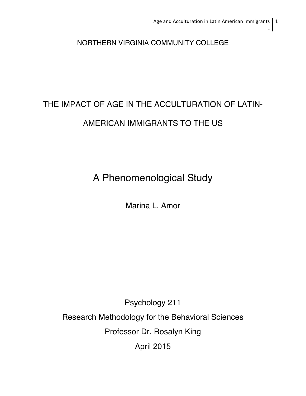NORTHERN VIRGINIA COMMUNITY COLLEGE

# THE IMPACT OF AGE IN THE ACCULTURATION OF LATIN-

# AMERICAN IMMIGRANTS TO THE US

A Phenomenological Study

Marina L. Amor

Psychology 211

Research Methodology for the Behavioral Sciences

Professor Dr. Rosalyn King

April 2015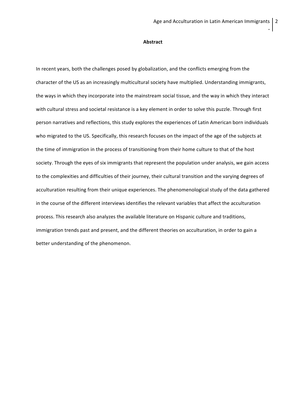#### **Abstract**

In recent years, both the challenges posed by globalization, and the conflicts emerging from the character of the US as an increasingly multicultural society have multiplied. Understanding immigrants, the ways in which they incorporate into the mainstream social tissue, and the way in which they interact with cultural stress and societal resistance is a key element in order to solve this puzzle. Through first person narratives and reflections, this study explores the experiences of Latin American born individuals who migrated to the US. Specifically, this research focuses on the impact of the age of the subjects at the time of immigration in the process of transitioning from their home culture to that of the host society. Through the eyes of six immigrants that represent the population under analysis, we gain access to the complexities and difficulties of their journey, their cultural transition and the varying degrees of acculturation resulting from their unique experiences. The phenomenological study of the data gathered in the course of the different interviews identifies the relevant variables that affect the acculturation process. This research also analyzes the available literature on Hispanic culture and traditions, immigration trends past and present, and the different theories on acculturation, in order to gain a better understanding of the phenomenon.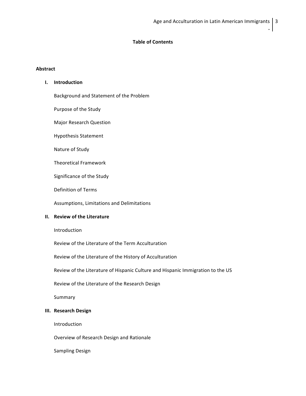## **Table of Contents**

## **Abstract**

# **I. Introduction**

Background and Statement of the Problem

Purpose of the Study

Major Research Question

Hypothesis Statement

Nature of Study

Theoretical Framework

Significance of the Study

Definition of Terms

Assumptions, Limitations and Delimitations

## **II. Review of the Literature**

Introduction

Review of the Literature of the Term Acculturation

Review of the Literature of the History of Acculturation

Review of the Literature of Hispanic Culture and Hispanic Immigration to the US

Review of the Literature of the Research Design

Summary

## **III. Research Design**

Introduction

Overview of Research Design and Rationale

Sampling Design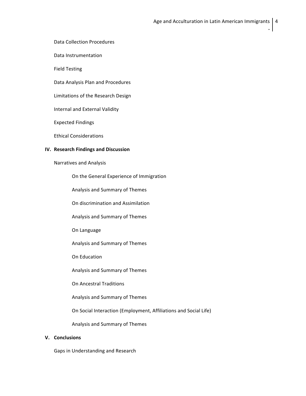Data Collection Procedures

Data Instrumentation

Field Testing

Data Analysis Plan and Procedures

Limitations of the Research Design

Internal and External Validity

Expected Findings

Ethical Considerations

## **IV. Research Findings and Discussion**

Narratives and Analysis

On the General Experience of Immigration

Analysis and Summary of Themes

On discrimination and Assimilation

Analysis and Summary of Themes

On Language

Analysis and Summary of Themes

On Education

Analysis and Summary of Themes

On Ancestral Traditions

Analysis and Summary of Themes

On Social Interaction (Employment, Affiliations and Social Life)

Analysis and Summary of Themes

# **V. Conclusions**

Gaps in Understanding and Research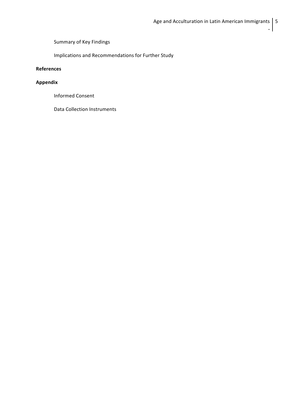Summary of Key Findings

Implications and Recommendations for Further Study

# **References**

# **Appendix**

Informed Consent

Data Collection Instruments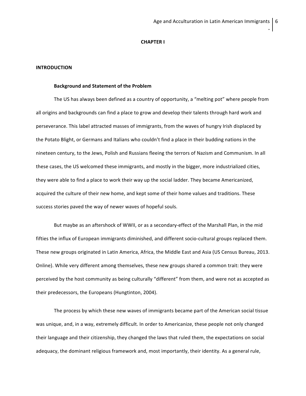#### **CHAPTER I**

#### **INTRODUCTION**

#### **Background and Statement of the Problem**

The US has always been defined as a country of opportunity, a "melting pot" where people from all origins and backgrounds can find a place to grow and develop their talents through hard work and perseverance. This label attracted masses of immigrants, from the waves of hungry Irish displaced by the Potato Blight, or Germans and Italians who couldn't find a place in their budding nations in the nineteen century, to the Jews, Polish and Russians fleeing the terrors of Nazism and Communism. In all these cases, the US welcomed these immigrants, and mostly in the bigger, more industrialized cities, they were able to find a place to work their way up the social ladder. They became Americanized, acquired the culture of their new home, and kept some of their home values and traditions. These success stories paved the way of newer waves of hopeful souls.

But maybe as an aftershock of WWII, or as a secondary-effect of the Marshall Plan, in the mid fifties the influx of European immigrants diminished, and different socio-cultural groups replaced them. These new groups originated in Latin America, Africa, the Middle East and Asia (US Census Bureau, 2013. Online). While very different among themselves, these new groups shared a common trait: they were perceived by the host community as being culturally "different" from them, and were not as accepted as their predecessors, the Europeans (Hungtinton, 2004).

The process by which these new waves of immigrants became part of the American social tissue was unique, and, in a way, extremely difficult. In order to Americanize, these people not only changed their language and their citizenship, they changed the laws that ruled them, the expectations on social adequacy, the dominant religious framework and, most importantly, their identity. As a general rule,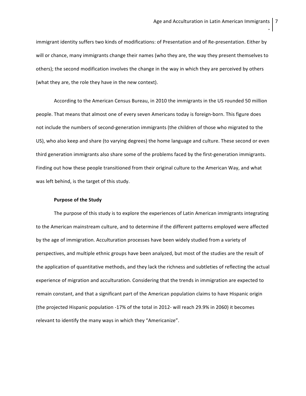immigrant identity suffers two kinds of modifications: of Presentation and of Re-presentation. Either by will or chance, many immigrants change their names (who they are, the way they present themselves to others); the second modification involves the change in the way in which they are perceived by others (what they are, the role they have in the new context).

According to the American Census Bureau, in 2010 the immigrants in the US rounded 50 million people. That means that almost one of every seven Americans today is foreign-born. This figure does not include the numbers of second-generation immigrants (the children of those who migrated to the US), who also keep and share (to varying degrees) the home language and culture. These second or even third generation immigrants also share some of the problems faced by the first-generation immigrants. Finding out how these people transitioned from their original culture to the American Way, and what was left behind, is the target of this study.

#### **Purpose of the Study**

The purpose of this study is to explore the experiences of Latin American immigrants integrating to the American mainstream culture, and to determine if the different patterns employed were affected by the age of immigration. Acculturation processes have been widely studied from a variety of perspectives, and multiple ethnic groups have been analyzed, but most of the studies are the result of the application of quantitative methods, and they lack the richness and subtleties of reflecting the actual experience of migration and acculturation. Considering that the trends in immigration are expected to remain constant, and that a significant part of the American population claims to have Hispanic origin (the projected Hispanic population -17% of the total in 2012- will reach 29.9% in 2060) it becomes relevant to identify the many ways in which they "Americanize".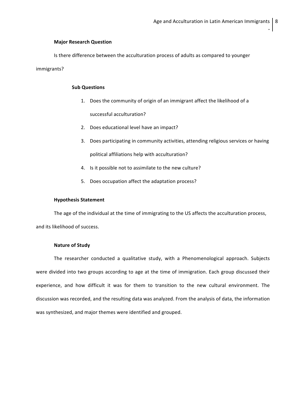## **Major Research Question**

Is there difference between the acculturation process of adults as compared to younger

## immigrants?

## **Sub Questions**

- 1. Does the community of origin of an immigrant affect the likelihood of a successful acculturation?
- 2. Does educational level have an impact?
- 3. Does participating in community activities, attending religious services or having political affiliations help with acculturation?
- 4. Is it possible not to assimilate to the new culture?
- 5. Does occupation affect the adaptation process?

#### **Hypothesis Statement**

The age of the individual at the time of immigrating to the US affects the acculturation process, and its likelihood of success.

## **Nature of Study**

The researcher conducted a qualitative study, with a Phenomenological approach. Subjects were divided into two groups according to age at the time of immigration. Each group discussed their experience, and how difficult it was for them to transition to the new cultural environment. The discussion was recorded, and the resulting data was analyzed. From the analysis of data, the information was synthesized, and major themes were identified and grouped.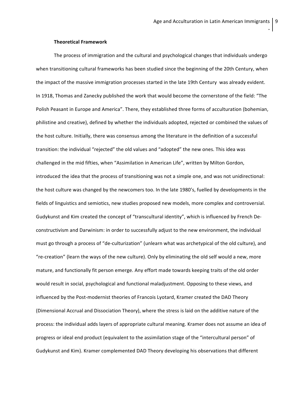#### **Theoretical Framework**

The process of immigration and the cultural and psychological changes that individuals undergo when transitioning cultural frameworks has been studied since the beginning of the 20th Century, when the impact of the massive immigration processes started in the late 19th Century was already evident. In 1918, Thomas and Zanecky published the work that would become the cornerstone of the field: "The Polish Peasant in Europe and America". There, they established three forms of acculturation (bohemian, philistine and creative), defined by whether the individuals adopted, rejected or combined the values of the host culture. Initially, there was consensus among the literature in the definition of a successful transition: the individual "rejected" the old values and "adopted" the new ones. This idea was challenged in the mid fifties, when "Assimilation in American Life", written by Milton Gordon, introduced the idea that the process of transitioning was not a simple one, and was not unidirectional: the host culture was changed by the newcomers too. In the late 1980's, fuelled by developments in the fields of linguistics and semiotics, new studies proposed new models, more complex and controversial. Gudykunst and Kim created the concept of "transcultural identity", which is influenced by French Deconstructivism and Darwinism: in order to successfully adjust to the new environment, the individual must go through a process of "de-culturization" (unlearn what was archetypical of the old culture), and "re-creation" (learn the ways of the new culture). Only by eliminating the old self would a new, more mature, and functionally fit person emerge. Any effort made towards keeping traits of the old order would result in social, psychological and functional maladjustment. Opposing to these views, and influenced by the Post-modernist theories of Francois Lyotard, Kramer created the DAD Theory (Dimensional Accrual and Dissociation Theory), where the stress is laid on the additive nature of the process: the individual adds layers of appropriate cultural meaning. Kramer does not assume an idea of progress or ideal end product (equivalent to the assimilation stage of the "intercultural person" of Gudykunst and Kim). Kramer complemented DAD Theory developing his observations that different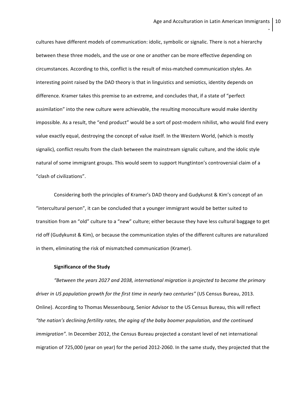cultures have different models of communication: idolic, symbolic or signalic. There is not a hierarchy between these three models, and the use or one or another can be more effective depending on circumstances. According to this, conflict is the result of miss-matched communication styles. An interesting point raised by the DAD theory is that in linguistics and semiotics, identity depends on difference. Kramer takes this premise to an extreme, and concludes that, if a state of "perfect assimilation" into the new culture were achievable, the resulting monoculture would make identity impossible. As a result, the "end product" would be a sort of post-modern nihilist, who would find every value exactly equal, destroying the concept of value itself. In the Western World, (which is mostly signalic), conflict results from the clash between the mainstream signalic culture, and the idolic style natural of some immigrant groups. This would seem to support Hungtinton's controversial claim of a "clash of civilizations".

Considering both the principles of Kramer's DAD theory and Gudykunst & Kim's concept of an "intercultural person", it can be concluded that a younger immigrant would be better suited to transition from an "old" culture to a "new" culture; either because they have less cultural baggage to get rid off (Gudykunst & Kim), or because the communication styles of the different cultures are naturalized in them, eliminating the risk of mismatched communication (Kramer).

#### **Significance of the Study**

*"Between the years 2027 and 2038, international migration is projected to become the primary driver in US population growth for the first time in nearly two centuries"* (US Census Bureau, 2013. Online). According to Thomas Messenbourg, Senior Advisor to the US Census Bureau, this will reflect *"the nation's declining fertility rates, the aging of the baby boomer population, and the continued immigration".* In December 2012, the Census Bureau projected a constant level of net international migration of 725,000 (year on year) for the period 2012-2060. In the same study, they projected that the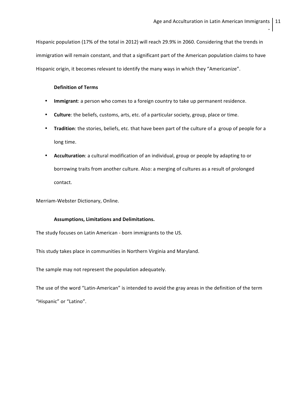Hispanic population (17% of the total in 2012) will reach 29.9% in 2060. Considering that the trends in immigration will remain constant, and that a significant part of the American population claims to have Hispanic origin, it becomes relevant to identify the many ways in which they "Americanize".

## **Definition of Terms**

- **Immigrant**: a person who comes to a foreign country to take up permanent residence.
- **Culture**: the beliefs, customs, arts, etc. of a particular society, group, place or time.
- **Tradition**: the stories, beliefs, etc. that have been part of the culture of a group of people for a long time.
- **Acculturation**: a cultural modification of an individual, group or people by adapting to or borrowing traits from another culture. Also: a merging of cultures as a result of prolonged contact.

Merriam-Webster Dictionary, Online.

#### Assumptions, Limitations and Delimitations.

The study focuses on Latin American - born immigrants to the US.

This study takes place in communities in Northern Virginia and Maryland.

The sample may not represent the population adequately.

The use of the word "Latin-American" is intended to avoid the gray areas in the definition of the term "Hispanic" or "Latino".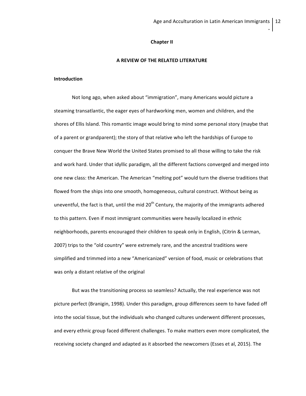#### **Chapter II**

#### **A REVIEW OF THE RELATED LITERATURE**

#### **Introduction**

Not long ago, when asked about "immigration", many Americans would picture a steaming transatlantic, the eager eyes of hardworking men, women and children, and the shores of Ellis Island. This romantic image would bring to mind some personal story (maybe that of a parent or grandparent); the story of that relative who left the hardships of Europe to conquer the Brave New World the United States promised to all those willing to take the risk and work hard. Under that idyllic paradigm, all the different factions converged and merged into one new class: the American. The American "melting pot" would turn the diverse traditions that flowed from the ships into one smooth, homogeneous, cultural construct. Without being as uneventful, the fact is that, until the mid  $20<sup>th</sup>$  Century, the majority of the immigrants adhered to this pattern. Even if most immigrant communities were heavily localized in ethnic neighborhoods, parents encouraged their children to speak only in English, (Citrin & Lerman, 2007) trips to the "old country" were extremely rare, and the ancestral traditions were simplified and trimmed into a new "Americanized" version of food, music or celebrations that was only a distant relative of the original

But was the transitioning process so seamless? Actually, the real experience was not picture perfect (Branigin, 1998). Under this paradigm, group differences seem to have faded off into the social tissue, but the individuals who changed cultures underwent different processes, and every ethnic group faced different challenges. To make matters even more complicated, the receiving society changed and adapted as it absorbed the newcomers (Esses et al, 2015). The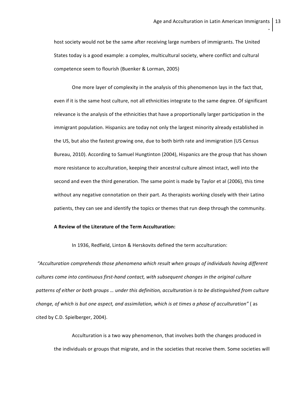host society would not be the same after receiving large numbers of immigrants. The United States today is a good example: a complex, multicultural society, where conflict and cultural competence seem to flourish (Buenker & Lorman, 2005)

One more layer of complexity in the analysis of this phenomenon lays in the fact that, even if it is the same host culture, not all ethnicities integrate to the same degree. Of significant relevance is the analysis of the ethnicities that have a proportionally larger participation in the immigrant population. Hispanics are today not only the largest minority already established in the US, but also the fastest growing one, due to both birth rate and immigration (US Census Bureau, 2010). According to Samuel Hungtinton (2004), Hispanics are the group that has shown more resistance to acculturation, keeping their ancestral culture almost intact, well into the second and even the third generation. The same point is made by Taylor et al (2006), this time without any negative connotation on their part. As therapists working closely with their Latino patients, they can see and identify the topics or themes that run deep through the community.

## **A Review of the Literature of the Term Acculturation:**

In 1936, Redfield, Linton & Herskovits defined the term acculturation:

*"Acculturation comprehends those phenomena which result when groups of individuals having different cultures come into continuous first-hand contact, with subsequent changes in the original culture* patterns of either or both groups ... under this definition, acculturation is to be distinguished from culture *change, of which is but one aspect, and assimilation, which is at times a phase of acculturation"* ( as cited by C.D. Spielberger, 2004).

Acculturation is a two way phenomenon, that involves both the changes produced in the individuals or groups that migrate, and in the societies that receive them. Some societies will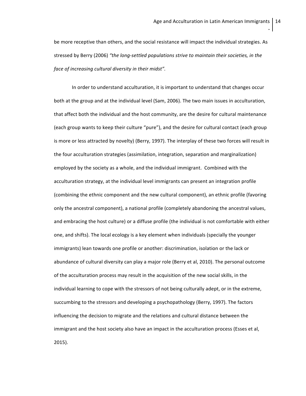be more receptive than others, and the social resistance will impact the individual strategies. As stressed by Berry (2006) *"the long-settled populations strive to maintain their societies, in the face of increasing cultural diversity in their midst".*

In order to understand acculturation, it is important to understand that changes occur both at the group and at the individual level (Sam, 2006). The two main issues in acculturation, that affect both the individual and the host community, are the desire for cultural maintenance (each group wants to keep their culture "pure"), and the desire for cultural contact (each group is more or less attracted by novelty) (Berry, 1997). The interplay of these two forces will result in the four acculturation strategies (assimilation, integration, separation and marginalization) employed by the society as a whole, and the individual immigrant. Combined with the acculturation strategy, at the individual level immigrants can present an integration profile (combining the ethnic component and the new cultural component), an ethnic profile (favoring only the ancestral component), a national profile (completely abandoning the ancestral values, and embracing the host culture) or a diffuse profile (the individual is not comfortable with either one, and shifts). The local ecology is a key element when individuals (specially the younger immigrants) lean towards one profile or another: discrimination, isolation or the lack or abundance of cultural diversity can play a major role (Berry et al, 2010). The personal outcome of the acculturation process may result in the acquisition of the new social skills, in the individual learning to cope with the stressors of not being culturally adept, or in the extreme, succumbing to the stressors and developing a psychopathology (Berry, 1997). The factors influencing the decision to migrate and the relations and cultural distance between the immigrant and the host society also have an impact in the acculturation process (Esses et al, 2015).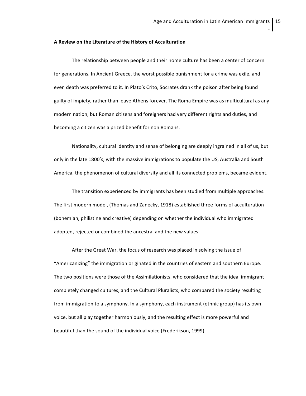#### **A Review on the Literature of the History of Acculturation**

The relationship between people and their home culture has been a center of concern for generations. In Ancient Greece, the worst possible punishment for a crime was exile, and even death was preferred to it. In Plato's Crito, Socrates drank the poison after being found guilty of impiety, rather than leave Athens forever. The Roma Empire was as multicultural as any modern nation, but Roman citizens and foreigners had very different rights and duties, and becoming a citizen was a prized benefit for non Romans.

Nationality, cultural identity and sense of belonging are deeply ingrained in all of us, but only in the late 1800's, with the massive immigrations to populate the US, Australia and South America, the phenomenon of cultural diversity and all its connected problems, became evident.

The transition experienced by immigrants has been studied from multiple approaches. The first modern model, (Thomas and Zanecky, 1918) established three forms of acculturation (bohemian, philistine and creative) depending on whether the individual who immigrated adopted, rejected or combined the ancestral and the new values.

After the Great War, the focus of research was placed in solving the issue of "Americanizing" the immigration originated in the countries of eastern and southern Europe. The two positions were those of the Assimilationists, who considered that the ideal immigrant completely changed cultures, and the Cultural Pluralists, who compared the society resulting from immigration to a symphony. In a symphony, each instrument (ethnic group) has its own voice, but all play together harmoniously, and the resulting effect is more powerful and beautiful than the sound of the individual voice (Frederikson, 1999).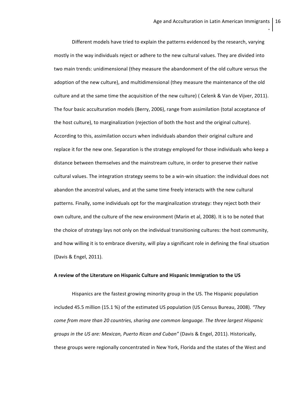16

**.**

Different models have tried to explain the patterns evidenced by the research, varying mostly in the way individuals reject or adhere to the new cultural values. They are divided into two main trends: unidimensional (they measure the abandonment of the old culture versus the adoption of the new culture), and multidimensional (they measure the maintenance of the old culture and at the same time the acquisition of the new culture) ( Celenk & Van de Vijver, 2011). The four basic acculturation models (Berry, 2006), range from assimilation (total acceptance of the host culture), to marginalization (rejection of both the host and the original culture). According to this, assimilation occurs when individuals abandon their original culture and replace it for the new one. Separation is the strategy employed for those individuals who keep a distance between themselves and the mainstream culture, in order to preserve their native cultural values. The integration strategy seems to be a win-win situation: the individual does not abandon the ancestral values, and at the same time freely interacts with the new cultural patterns. Finally, some individuals opt for the marginalization strategy: they reject both their own culture, and the culture of the new environment (Marin et al, 2008). It is to be noted that the choice of strategy lays not only on the individual transitioning cultures: the host community, and how willing it is to embrace diversity, will play a significant role in defining the final situation (Davis & Engel, 2011).

## **A review of the Literature on Hispanic Culture and Hispanic Immigration to the US**

Hispanics are the fastest growing minority group in the US. The Hispanic population included 45.5 million (15.1 %) of the estimated US population (US Census Bureau, 2008). *"They come from more than 20 countries, sharing one common language. The three largest Hispanic groups in the US are: Mexican, Puerto Rican and Cuban"* (Davis & Engel, 2011). Historically, these groups were regionally concentrated in New York, Florida and the states of the West and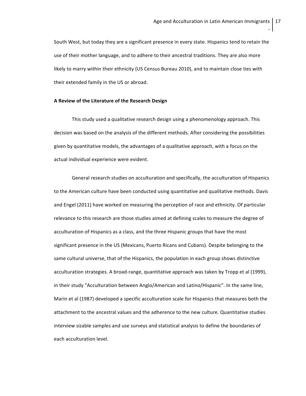South West, but today they are a significant presence in every state. Hispanics tend to retain the use of their mother language, and to adhere to their ancestral traditions. They are also more likely to marry within their ethnicity (US Census Bureau 2010), and to maintain close ties with their extended family in the US or abroad.

## **A Review of the Literature of the Research Design**

This study used a qualitative research design using a phenomenology approach. This decision was based on the analysis of the different methods. After considering the possibilities given by quantitative models, the advantages of a qualitative approach, with a focus on the actual individual experience were evident.

General research studies on acculturation and specifically, the acculturation of Hispanics to the American culture have been conducted using quantitative and qualitative methods. Davis and Engel (2011) have worked on measuring the perception of race and ethnicity. Of particular relevance to this research are those studies aimed at defining scales to measure the degree of acculturation of Hispanics as a class, and the three Hispanic groups that have the most significant presence in the US (Mexicans, Puerto Ricans and Cubans). Despite belonging to the same cultural universe, that of the Hispanics, the population in each group shows distinctive acculturation strategies. A broad-range, quantitative approach was taken by Tropp et al (1999), in their study "Acculturation between Anglo/American and Latino/Hispanic". In the same line, Marin et al (1987) developed a specific acculturation scale for Hispanics that measures both the attachment to the ancestral values and the adherence to the new culture. Quantitative studies interview sizable samples and use surveys and statistical analysis to define the boundaries of each acculturation level.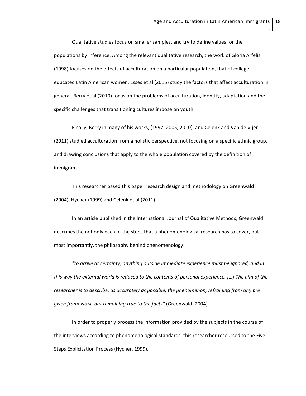Qualitative studies focus on smaller samples, and try to define values for the populations by inference. Among the relevant qualitative research, the work of Gloria Arfelis (1998) focuses on the effects of acculturation on a particular population, that of collegeeducated Latin American women. Esses et al (2015) study the factors that affect acculturation in general. Berry et al (2010) focus on the problems of acculturation, identity, adaptation and the specific challenges that transitioning cultures impose on youth.

Finally, Berry in many of his works, (1997, 2005, 2010), and Celenk and Van de Vijer (2011) studied acculturation from a holistic perspective, not focusing on a specific ethnic group, and drawing conclusions that apply to the whole population covered by the definition of immigrant.

This researcher based this paper research design and methodology on Greenwald (2004), Hycner (1999) and Celenk et al (2011).

In an article published in the International Journal of Qualitative Methods, Greenwald describes the not only each of the steps that a phenomenological research has to cover, but most importantly, the philosophy behind phenomenology:

*"to arrive at certainty, anything outside immediate experience must be ignored, and in this way the external world is reduced to the contents of personal experience. […] The aim of the researcher is to describe, as accurately as possible, the phenomenon, refraining from any pre given framework, but remaining true to the facts"* (Greenwald, 2004).

In order to properly process the information provided by the subjects in the course of the interviews according to phenomenological standards, this researcher resourced to the Five Steps Explicitation Process (Hycner, 1999).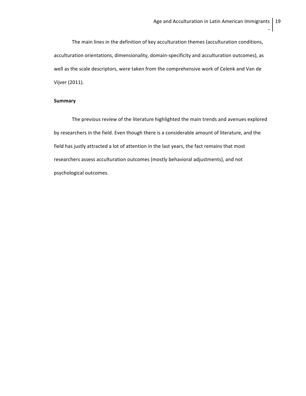The main lines in the definition of key acculturation themes (acculturation conditions, acculturation orientations, dimensionality, domain-specificity and acculturation outcomes), as well as the scale descriptors, were taken from the comprehensive work of Celenk and Van de Vijver (2011).

## **Summary**

The previous review of the literature highlighted the main trends and avenues explored by researchers in the field. Even though there is a considerable amount of literature, and the field has justly attracted a lot of attention in the last years, the fact remains that most researchers assess acculturation outcomes (mostly behavioral adjustments), and not psychological outcomes.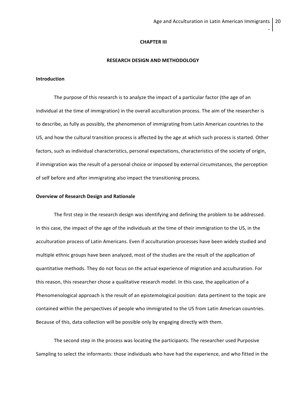#### **CHAPTER III**

### **RESEARCH DESIGN AND METHODOLOGY**

#### **Introduction**

The purpose of this research is to analyze the impact of a particular factor (the age of an individual at the time of immigration) in the overall acculturation process. The aim of the researcher is to describe, as fully as possibly, the phenomenon of immigrating from Latin American countries to the US, and how the cultural transition process is affected by the age at which such process is started. Other factors, such as individual characteristics, personal expectations, characteristics of the society of origin, if immigration was the result of a personal choice or imposed by external circumstances, the perception of self before and after immigrating also impact the transitioning process.

#### **Overview of Research Design and Rationale**

The first step in the research design was identifying and defining the problem to be addressed. In this case, the impact of the age of the individuals at the time of their immigration to the US, in the acculturation process of Latin Americans. Even if acculturation processes have been widely studied and multiple ethnic groups have been analyzed, most of the studies are the result of the application of quantitative methods. They do not focus on the actual experience of migration and acculturation. For this reason, this researcher chose a qualitative research model. In this case, the application of a Phenomenological approach is the result of an epistemological position: data pertinent to the topic are contained within the perspectives of people who immigrated to the US from Latin American countries. Because of this, data collection will be possible only by engaging directly with them.

The second step in the process was locating the participants. The researcher used Purposive Sampling to select the informants: those individuals who have had the experience, and who fitted in the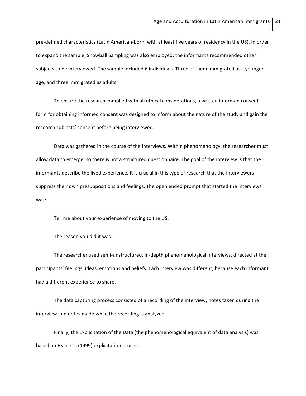pre-defined characteristics (Latin American-born, with at least five years of residency in the US). In order to expand the sample, Snowball Sampling was also employed: the informants recommended other subjects to be interviewed. The sample included 6 individuals. Three of them immigrated at a younger age, and three immigrated as adults.

To ensure the research complied with all ethical considerations, a written informed consent form for obtaining informed consent was designed to inform about the nature of the study and gain the research subjects' consent before being interviewed.

Data was gathered in the course of the interviews. Within phenomenology, the researcher must allow data to emerge, so there is not a structured questionnaire. The goal of the interview is that the informants describe the lived experience. It is crucial in this type of research that the interviewers suppress their own presuppositions and feelings. The open ended prompt that started the interviews was:

Tell me about your experience of moving to the US.

The reason you did it was …

The researcher used semi-unstructured, in-depth phenomenological interviews, directed at the participants' feelings, ideas, emotions and beliefs. Each interview was different, because each informant had a different experience to share.

The data capturing process consisted of a recording of the interview, notes taken during the interview and notes made while the recording is analyzed.

Finally, the Explicitation of the Data (the phenomenological equivalent of data analysis) was based on Hycner's (1999) explicitation process.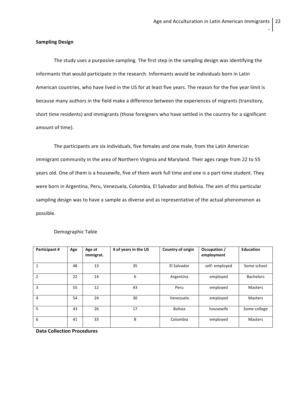## **Sampling Design**

The study uses a purposive sampling. The first step in the sampling design was identifying the informants that would participate in the research. Informants would be individuals born in Latin American countries, who have lived in the US for at least five years. The reason for the five year limit is because many authors in the field make a difference between the experiences of migrants (transitory, short time residents) and immigrants (those foreigners who have settled in the country for a significant amount of time).

The participants are six individuals, five females and one male, from the Latin American immigrant community in the area of Northern Virginia and Maryland. Their ages range from 22 to 55 years old. One of them is a housewife, five of them work full time and one is a part-time student. They were born in Argentina, Peru, Venezuela, Colombia, El Salvador and Bolivia. The aim of this particular sampling design was to have a sample as diverse and as representative of the actual phenomenon as possible.

| Participant# | Age | Age at<br>immigrat. | # of years in the US | Country of origin | Occupation /<br>employment | <b>Education</b> |
|--------------|-----|---------------------|----------------------|-------------------|----------------------------|------------------|
| 1            | 48  | 13                  | 35                   | El Salvador       | self-employed              | Some school      |
| 2            | 22  | 14                  | 6                    | Argentina         | employed                   | <b>Bachelors</b> |
| 3            | 55  | 12                  | 43                   | Peru              | employed                   | Masters          |
| 4            | 54  | 24                  | 30                   | Venezuela         | employed                   | Masters          |
| 5            | 43  | 26                  | 17                   | <b>Bolivia</b>    | housewife                  | Some college     |
| 6            | 41  | 33                  | 8                    | Colombia          | employed                   | <b>Masters</b>   |

Demographic Table

**Data Collection Procedures**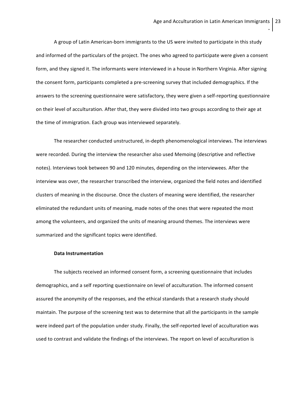A group of Latin American-born immigrants to the US were invited to participate in this study and informed of the particulars of the project. The ones who agreed to participate were given a consent form, and they signed it. The informants were interviewed in a house in Northern Virginia. After signing the consent form, participants completed a pre-screening survey that included demographics. If the answers to the screening questionnaire were satisfactory, they were given a self-reporting questionnaire on their level of acculturation. After that, they were divided into two groups according to their age at the time of immigration. Each group was interviewed separately.

The researcher conducted unstructured, in-depth phenomenological interviews. The interviews were recorded. During the interview the researcher also used Memoing (descriptive and reflective notes). Interviews took between 90 and 120 minutes, depending on the interviewees. After the interview was over, the researcher transcribed the interview, organized the field notes and identified clusters of meaning in the discourse. Once the clusters of meaning were identified, the researcher eliminated the redundant units of meaning, made notes of the ones that were repeated the most among the volunteers, and organized the units of meaning around themes. The interviews were summarized and the significant topics were identified.

#### **Data Instrumentation**

The subjects received an informed consent form, a screening questionnaire that includes demographics, and a self reporting questionnaire on level of acculturation. The informed consent assured the anonymity of the responses, and the ethical standards that a research study should maintain. The purpose of the screening test was to determine that all the participants in the sample were indeed part of the population under study. Finally, the self-reported level of acculturation was used to contrast and validate the findings of the interviews. The report on level of acculturation is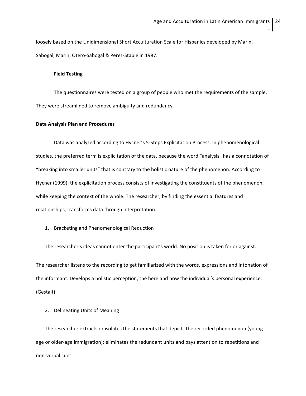loosely based on the Unidimensional Short Acculturation Scale for Hispanics developed by Marin, Sabogal, Marin, Otero-Sabogal & Perez-Stable in 1987.

## **Field Testing**

The questionnaires were tested on a group of people who met the requirements of the sample. They were streamlined to remove ambiguity and redundancy.

## **Data Analysis Plan and Procedures**

Data was analyzed according to Hycner's 5-Steps Explicitation Process. In phenomenological studies, the preferred term is explicitation of the data, because the word "analysis" has a connotation of "breaking into smaller units" that is contrary to the holistic nature of the phenomenon. According to Hycner (1999), the explicitation process consists of investigating the constituents of the phenomenon, while keeping the context of the whole. The researcher, by finding the essential features and relationships, transforms data through interpretation.

1. Bracketing and Phenomenological Reduction

The researcher's ideas cannot enter the participant's world. No position is taken for or against.

The researcher listens to the recording to get familiarized with the words, expressions and intonation of the informant. Develops a holistic perception, the here and now the individual's personal experience. (Gestalt)

2. Delineating Units of Meaning

The researcher extracts or isolates the statements that depicts the recorded phenomenon (youngage or older-age immigration); eliminates the redundant units and pays attention to repetitions and non-verbal cues.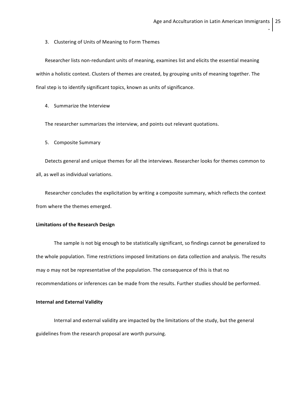3. Clustering of Units of Meaning to Form Themes

Researcher lists non-redundant units of meaning, examines list and elicits the essential meaning within a holistic context. Clusters of themes are created, by grouping units of meaning together. The final step is to identify significant topics, known as units of significance.

4. Summarize the Interview

The researcher summarizes the interview, and points out relevant quotations.

5. Composite Summary

Detects general and unique themes for all the interviews. Researcher looks for themes common to all, as well as individual variations.

Researcher concludes the explicitation by writing a composite summary, which reflects the context from where the themes emerged.

## **Limitations of the Research Design**

The sample is not big enough to be statistically significant, so findings cannot be generalized to the whole population. Time restrictions imposed limitations on data collection and analysis. The results may o may not be representative of the population. The consequence of this is that no recommendations or inferences can be made from the results. Further studies should be performed.

#### **Internal and External Validity**

Internal and external validity are impacted by the limitations of the study, but the general guidelines from the research proposal are worth pursuing.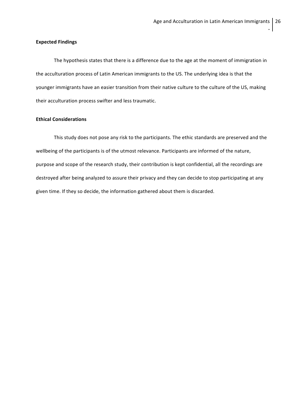## **Expected Findings**

The hypothesis states that there is a difference due to the age at the moment of immigration in the acculturation process of Latin American immigrants to the US. The underlying idea is that the younger immigrants have an easier transition from their native culture to the culture of the US, making their acculturation process swifter and less traumatic.

## **Ethical Considerations**

This study does not pose any risk to the participants. The ethic standards are preserved and the wellbeing of the participants is of the utmost relevance. Participants are informed of the nature, purpose and scope of the research study, their contribution is kept confidential, all the recordings are destroyed after being analyzed to assure their privacy and they can decide to stop participating at any given time. If they so decide, the information gathered about them is discarded.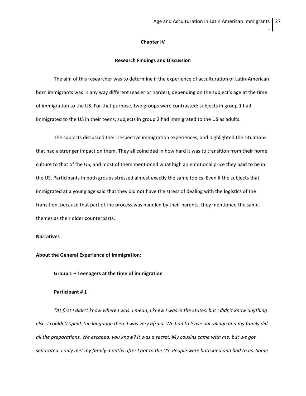#### **Chapter IV**

### **Research Findings and Discussion**

The aim of this researcher was to determine if the experience of acculturation of Latin-American born immigrants was in any way different (easier or harder), depending on the subject's age at the time of immigration to the US. For that purpose, two groups were contrasted: subjects in group 1 had immigrated to the US in their teens; subjects in group 2 had immigrated to the US as adults.

The subjects discussed their respective immigration experiences, and highlighted the situations that had a stronger impact on them. They all coincided in how hard it was to transition from their home culture to that of the US, and most of them mentioned what high an emotional price they paid to be in the US. Participants in both groups stressed almost exactly the same topics. Even if the subjects that immigrated at a young age said that they did not have the stress of dealing with the logistics of the transition, because that part of the process was handled by their parents, they mentioned the same themes as their older counterparts.

### **Narratives**

### **About the General Experience of Immigration:**

## **Group 1 – Teenagers at the time of immigration**

#### **Participant # 1**

"At first I didn't know where I was. I mean, I knew I was in the States, but I didn't know anything else. I couldn't speak the language then. I was very afraid. We had to leave our village and my family did all the preparations. We escaped, you know? It was a secret. My cousins came with me, but we got separated. I only met my family months after I got to the US. People were both kind and bad to us. Some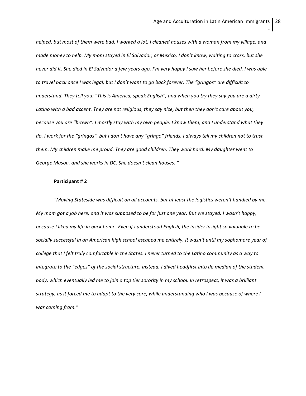helped, but most of them were bad. I worked a lot. I cleaned houses with a woman from my village, and made money to help. My mom stayed in El Salvador, or Mexico, I don't know, waiting to cross, but she never did it. She died in El Salvador a few years ago. I'm very happy I saw her before she died. I was able to travel back once I was legal, but I don't want to go back forever. The "gringos" are difficult to understand. They tell you: "This is America, speak English", and when you try they say you are a dirty Latino with a bad accent. They are not religious, they say nice, but then they don't care about you, because you are "brown". I mostly stay with my own people. I know them, and I understand what they do. I work for the "gringos", but I don't have any "gringo" friends. I always tell my children not to trust *them. My children make me proud. They are good children. They work hard. My daughter went to George Mason, and she works in DC. She doesn't clean houses. "*

## **Participant # 2**

*"Moving Stateside was difficult on all accounts, but at least the logistics weren't handled by me.* My mom got a job here, and it was supposed to be for just one year. But we stayed. I wasn't happy, because I liked my life in back home. Even if I understood English, the insider insight so valuable to be *socially successful in an American high school escaped me entirely. It wasn't until my sophomore year of* college that I felt truly comfortable in the States. I never turned to the Latino community as a way to integrate to the "edges" of the social structure. Instead, I dived headfirst into de median of the student body, which eventually led me to join a top tier sorority in my school. In retrospect, it was a brilliant strategy, as it forced me to adapt to the very core, while understanding who I was because of where I *was coming from."*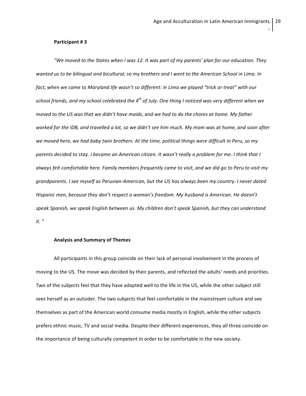#### **Participant # 3**

"We moved to the States when I was 12. It was part of my parents' plan for our education. They wanted us to be bilingual and bicultural, so my brothers and I went to the American School in Lima. In fact, when we came to Maryland life wasn't so different: in Lima we played "trick or treat" with our school friends, and my school celebrated the  $4^{th}$  of July. One thing I noticed was very different when we moved to the US was that we didn't have maids, and we had to do the chores at home. My father worked for the IDB, and travelled a lot, so we didn't see him much. My mom was at home, and soon after we moved here, we had baby twin brothers. At the time, political things were difficult in Peru, so my parents decided to stay. I became an American citizen. It wasn't really a problem for me. I think that I always felt comfortable here. Family members frequently came to visit, and we did go to Peru to visit my *grandparents. I see myself as Peruvian-American, but the US has always been my country. I never dated Hispanic men, because they don't respect a woman's freedom. My husband is American. He doesn't speak Spanish, we speak English between us. My children don't speak Spanish, but they can understand it. "*

#### **Analysis and Summary of Themes**

All participants in this group coincide on their lack of personal involvement in the process of moving to the US. The move was decided by their parents, and reflected the adults' needs and priorities. Two of the subjects feel that they have adapted well to the life in the US, while the other subject still sees herself as an outsider. The two subjects that feel comfortable in the mainstream culture and see themselves as part of the American world consume media mostly in English, while the other subjects prefers ethnic music, TV and social media. Despite their different experiences, they all three coincide on the importance of being culturally competent in order to be comfortable in the new society.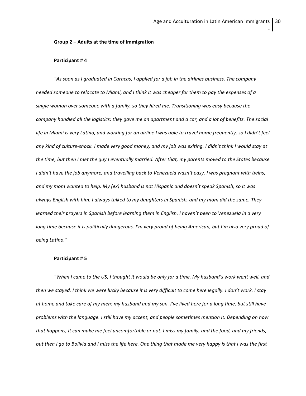## **Group 2 – Adults at the time of immigration**

### **Participant # 4**

*"As soon as I graduated in Caracas, I applied for a job in the airlines business. The company* needed someone to relocate to Miami, and I think it was cheaper for them to pay the expenses of a *single woman over someone with a family, so they hired me. Transitioning was easy because the* company handled all the logistics: they gave me an apartment and a car, and a lot of benefits. The social life in Miami is very Latino, and working for an airline I was able to travel home frequently, so I didn't feel any kind of culture-shock. I made very good money, and my job was exiting. I didn't think I would stay at the time, but then I met the guy I eventually married. After that, my parents moved to the States because I didn't have the job anymore, and travelling back to Venezuela wasn't easy. I was pregnant with twins, and my mom wanted to help. My (ex) husband is not Hispanic and doesn't speak Spanish, so it was always English with him. I always talked to my daughters in Spanish, and my mom did the same. They learned their prayers in Spanish before learning them in English. I haven't been to Venezuela in a very long time because it is politically dangerous. I'm very proud of being American, but I'm also very proud of *being Latino."*

#### **Participant # 5**

"When I came to the US, I thought it would be only for a time. My husband's work went well, and then we stayed. I think we were lucky because it is very difficult to come here legally. I don't work. I stay at home and take care of my men: my husband and my son. I've lived here for a long time, but still have *problems with the language. I still have my accent, and people sometimes mention it. Depending on how* that happens, it can make me feel uncomfortable or not. I miss my family, and the food, and my friends, but then I go to Bolivia and I miss the life here. One thing that made me very happy is that I was the first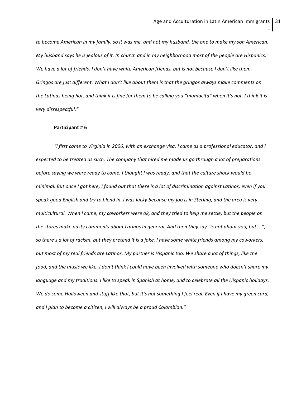to become American in my family, so it was me, and not my husband, the one to make my son American. My husband says he is jealous of it. In church and in my neighborhood most of the people are Hispanics. We have a lot of friends. I don't have white American friends, but is not because I don't like them. Gringos are just different. What I don't like about them is that the gringos always make comments on the Latinas being hot, and think it is fine for them to be calling you "mamacita" when it's not. I think it is *very disrespectful."*

#### **Participant # 6**

"I first came to Virginia in 2006, with an exchange visa. I came as a professional educator, and I expected to be treated as such. The company that hired me made us go through a lot of preparations before saying we were ready to come. I thought I was ready, and that the culture shock would be minimal. But once I got here, I found out that there is a lot of discrimination against Latinos, even if you speak good English and try to blend in. I was lucky because my job is in Sterling, and the area is very multicultural. When I came, my coworkers were ok, and they tried to help me settle, but the people on the stores make nasty comments about Latinos in general. And then they say "is not about you, but ...", so there's a lot of racism, but they pretend it is a joke. I have some white friends among my coworkers, but most of my real friends are Latinos. My partner is Hispanic too. We share a lot of things, like the food, and the music we like. I don't think I could have been involved with someone who doesn't share my language and my traditions. I like to speak in Spanish at home, and to celebrate all the Hispanic holidays. We do some Halloween and stuff like that, but it's not something I feel real. Even if I have my green card, *and I plan to become a citizen, I will always be a proud Colombian."*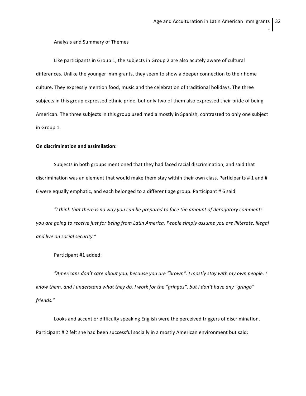## Analysis and Summary of Themes

Like participants in Group 1, the subjects in Group 2 are also acutely aware of cultural differences. Unlike the younger immigrants, they seem to show a deeper connection to their home culture. They expressly mention food, music and the celebration of traditional holidays. The three subjects in this group expressed ethnic pride, but only two of them also expressed their pride of being American. The three subjects in this group used media mostly in Spanish, contrasted to only one subject in Group 1.

#### **On discrimination and assimilation:**

Subjects in both groups mentioned that they had faced racial discrimination, and said that discrimination was an element that would make them stay within their own class. Participants # 1 and # 6 were equally emphatic, and each belonged to a different age group. Participant # 6 said:

*"I think that there is no way you can be prepared to face the amount of derogatory comments* you are going to receive just for being from Latin America. People simply assume you are illiterate, illegal *and live on social security."*

### Participant #1 added:

*"Americans don't care about you, because you are "brown". I mostly stay with my own people. I* know them, and I understand what they do. I work for the "gringos", but I don't have any "gringo" *friends."*

Looks and accent or difficulty speaking English were the perceived triggers of discrimination. Participant # 2 felt she had been successful socially in a mostly American environment but said: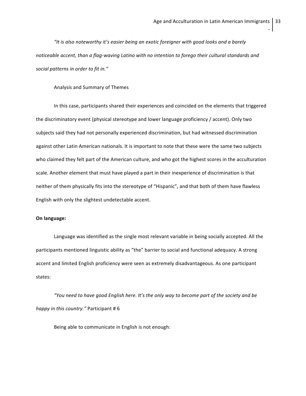*"It is also noteworthy it's easier being an exotic foreigner with good looks and a barely noticeable accent, than a flag-waving Latino with no intention to forego their cultural standards and social patterns in order to fit in."*

#### Analysis and Summary of Themes

In this case, participants shared their experiences and coincided on the elements that triggered the discriminatory event (physical stereotype and lower language proficiency / accent). Only two subjects said they had not personally experienced discrimination, but had witnessed discrimination against other Latin American nationals. It is important to note that these were the same two subjects who claimed they felt part of the American culture, and who got the highest scores in the acculturation scale. Another element that must have played a part in their inexperience of discrimination is that neither of them physically fits into the stereotype of "Hispanic", and that both of them have flawless English with only the slightest undetectable accent.

## **On language:**

Language was identified as the single most relevant variable in being socially accepted. All the participants mentioned linguistic ability as "the" barrier to social and functional adequacy. A strong accent and limited English proficiency were seen as extremely disadvantageous. As one participant states:

*"You need to have good English here. It's the only way to become part of the society and be happy in this country."* Participant # 6

Being able to communicate in English is not enough: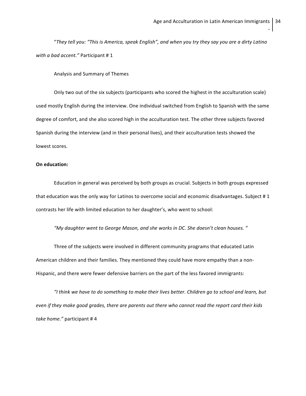"They tell you: "This is America, speak English", and when you try they say you are a dirty Latino *with a bad accent."* Participant # 1

Analysis and Summary of Themes

Only two out of the six subjects (participants who scored the highest in the acculturation scale) used mostly English during the interview. One individual switched from English to Spanish with the same degree of comfort, and she also scored high in the acculturation test. The other three subjects favored Spanish during the interview (and in their personal lives), and their acculturation tests showed the lowest scores.

## **On education:**

Education in general was perceived by both groups as crucial. Subjects in both groups expressed that education was the only way for Latinos to overcome social and economic disadvantages. Subject # 1 contrasts her life with limited education to her daughter's, who went to school:

*"My daughter went to George Mason, and she works in DC. She doesn't clean houses. "*

Three of the subjects were involved in different community programs that educated Latin American children and their families. They mentioned they could have more empathy than a non-Hispanic, and there were fewer defensive barriers on the part of the less favored immigrants:

"I think we have to do something to make their lives better. Children go to school and learn, but even if they make good grades, there are parents out there who cannot read the report card their kids *take home."* participant # 4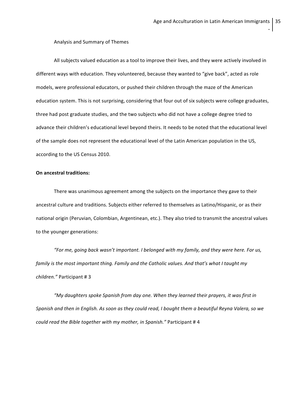Analysis and Summary of Themes

All subjects valued education as a tool to improve their lives, and they were actively involved in different ways with education. They volunteered, because they wanted to "give back", acted as role models, were professional educators, or pushed their children through the maze of the American education system. This is not surprising, considering that four out of six subjects were college graduates, three had post graduate studies, and the two subjects who did not have a college degree tried to advance their children's educational level beyond theirs. It needs to be noted that the educational level of the sample does not represent the educational level of the Latin American population in the US, according to the US Census 2010.

## **On ancestral traditions:**

There was unanimous agreement among the subjects on the importance they gave to their ancestral culture and traditions. Subjects either referred to themselves as Latino/Hispanic, or as their national origin (Peruvian, Colombian, Argentinean, etc.). They also tried to transmit the ancestral values to the younger generations:

*"For me, going back wasn't important. I belonged with my family, and they were here. For us, family is the most important thing. Family and the Catholic values. And that's what I taught my children."* Participant # 3

*"My daughters spoke Spanish from day one. When they learned their prayers, it was first in* Spanish and then in English. As soon as they could read, I bought them a beautiful Reyna Valera, so we *could read the Bible together with my mother, in Spanish."* Participant # 4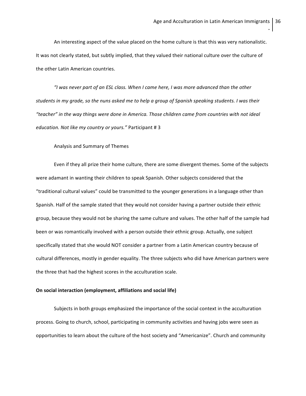An interesting aspect of the value placed on the home culture is that this was very nationalistic. It was not clearly stated, but subtly implied, that they valued their national culture over the culture of the other Latin American countries.

*"I was never part of an ESL class. When I came here, I was more advanced than the other* students in my grade, so the nuns asked me to help a group of Spanish speaking students. I was their *"teacher" in the way things were done in America. Those children came from countries with not ideal education. Not like my country or yours."* Participant # 3

#### Analysis and Summary of Themes

Even if they all prize their home culture, there are some divergent themes. Some of the subjects were adamant in wanting their children to speak Spanish. Other subjects considered that the "traditional cultural values" could be transmitted to the younger generations in a language other than Spanish. Half of the sample stated that they would not consider having a partner outside their ethnic group, because they would not be sharing the same culture and values. The other half of the sample had been or was romantically involved with a person outside their ethnic group. Actually, one subject specifically stated that she would NOT consider a partner from a Latin American country because of cultural differences, mostly in gender equality. The three subjects who did have American partners were the three that had the highest scores in the acculturation scale.

#### **On social interaction (employment, affiliations and social life)**

Subjects in both groups emphasized the importance of the social context in the acculturation process. Going to church, school, participating in community activities and having jobs were seen as opportunities to learn about the culture of the host society and "Americanize". Church and community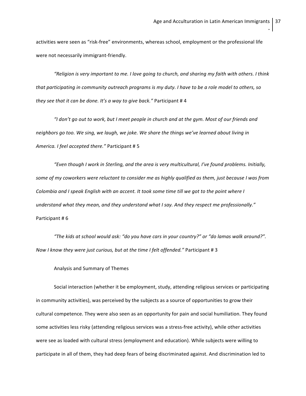activities were seen as "risk-free" environments, whereas school, employment or the professional life were not necessarily immigrant-friendly.

"Religion is very important to me. I love going to church, and sharing my faith with others. I think that participating in community outreach programs is my duty. I have to be a role model to others, so *they see that it can be done. It's a way to give back."* Participant # 4

"I don't go out to work, but I meet people in church and at the gym. Most of our friends and *neighbors go too. We sing, we laugh, we joke. We share the things we've learned about living in America. I feel accepted there."* Participant # 5

*"Even though I work in Sterling, and the area is very multicultural, I've found problems. Initially,* some of my coworkers were reluctant to consider me as highly qualified as them, just because I was from Colombia and I speak English with an accent. It took some time till we got to the point where I *understand what they mean, and they understand what I say. And they respect me professionally."* Participant # 6

*"The kids at school would ask: "do you have cars in your country?" or "do lamas walk around?". Now I know they were just curious, but at the time I felt offended."* Participant # 3

Analysis and Summary of Themes

Social interaction (whether it be employment, study, attending religious services or participating in community activities), was perceived by the subjects as a source of opportunities to grow their cultural competence. They were also seen as an opportunity for pain and social humiliation. They found some activities less risky (attending religious services was a stress-free activity), while other activities were see as loaded with cultural stress (employment and education). While subjects were willing to participate in all of them, they had deep fears of being discriminated against. And discrimination led to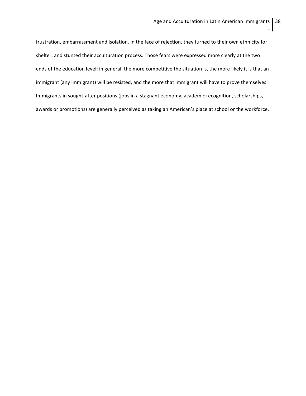frustration, embarrassment and isolation. In the face of rejection, they turned to their own ethnicity for shelter, and stunted their acculturation process. Those fears were expressed more clearly at the two ends of the education level: in general, the more competitive the situation is, the more likely it is that an immigrant (any immigrant) will be resisted, and the more that immigrant will have to prove themselves. Immigrants in sought-after positions (jobs in a stagnant economy, academic recognition, scholarships, awards or promotions) are generally perceived as taking an American's place at school or the workforce.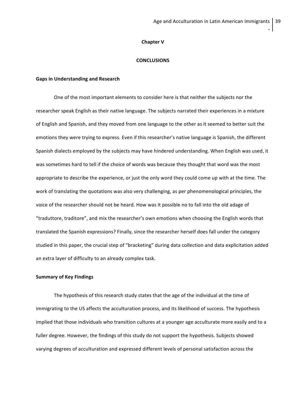## **Chapter V**

## **CONCLUSIONS**

#### **Gaps in Understanding and Research**

One of the most important elements to consider here is that neither the subjects nor the researcher speak English as their native language. The subjects narrated their experiences in a mixture of English and Spanish, and they moved from one language to the other as it seemed to better suit the emotions they were trying to express. Even if this researcher's native language is Spanish, the different Spanish dialects employed by the subjects may have hindered understanding. When English was used, it was sometimes hard to tell if the choice of words was because they thought that word was the most appropriate to describe the experience, or just the only word they could come up with at the time. The work of translating the quotations was also very challenging, as per phenomenological principles, the voice of the researcher should not be heard. How was it possible no to fall into the old adage of "traduttore, traditore", and mix the researcher's own emotions when choosing the English words that translated the Spanish expressions? Finally, since the researcher herself does fall under the category studied in this paper, the crucial step of "bracketing" during data collection and data explicitation added an extra layer of difficulty to an already complex task.

#### **Summary of Key Findings**

The hypothesis of this research study states that the age of the individual at the time of immigrating to the US affects the acculturation process, and its likelihood of success. The hypothesis implied that those individuals who transition cultures at a younger age acculturate more easily and to a fuller degree. However, the findings of this study do not support the hypothesis. Subjects showed varying degrees of acculturation and expressed different levels of personal satisfaction across the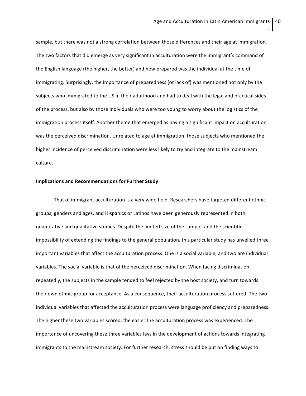sample, but there was not a strong correlation between those differences and their age at immigration. The two factors that did emerge as very significant in acculturation were the immigrant's command of the English language (the higher, the better) and how prepared was the individual at the time of immigrating. Surprisingly, the importance of preparedness (or lack of) was mentioned not only by the subjects who immigrated to the US in their adulthood and had to deal with the legal and practical sides of the process, but also by those individuals who were too young to worry about the logistics of the immigration process itself. Another theme that emerged as having a significant impact on acculturation was the perceived discrimination. Unrelated to age at immigration, those subjects who mentioned the higher incidence of perceived discrimination were less likely to try and integrate to the mainstream culture.

## **Implications and Recommendations for Further Study**

That of immigrant acculturation is a very wide field. Researchers have targeted different ethnic groups, genders and ages, and Hispanics or Latinos have been generously represented in both quantitative and qualitative studies. Despite the limited size of the sample, and the scientific impossibility of extending the findings to the general population, this particular study has unveiled three important variables that affect the acculturation process. One is a social variable, and two are individual variables. The social variable is that of the perceived discrimination. When facing discrimination repeatedly, the subjects in the sample tended to feel rejected by the host society, and turn towards their own ethnic group for acceptance. As a consequence, their acculturation process suffered. The two individual variables that affected the acculturation process were language proficiency and preparedness. The higher these two variables scored, the easier the acculturation process was experienced. The importance of uncovering these three variables lays in the development of actions towards integrating immigrants to the mainstream society. For further research, stress should be put on finding ways to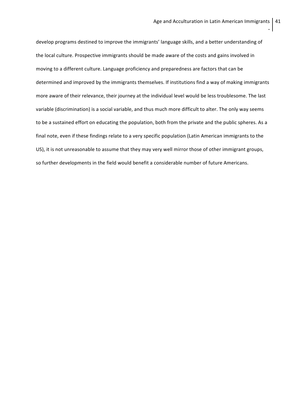develop programs destined to improve the immigrants' language skills, and a better understanding of the local culture. Prospective immigrants should be made aware of the costs and gains involved in moving to a different culture. Language proficiency and preparedness are factors that can be determined and improved by the immigrants themselves. If institutions find a way of making immigrants more aware of their relevance, their journey at the individual level would be less troublesome. The last variable (discrimination) is a social variable, and thus much more difficult to alter. The only way seems to be a sustained effort on educating the population, both from the private and the public spheres. As a final note, even if these findings relate to a very specific population (Latin American immigrants to the US), it is not unreasonable to assume that they may very well mirror those of other immigrant groups, so further developments in the field would benefit a considerable number of future Americans.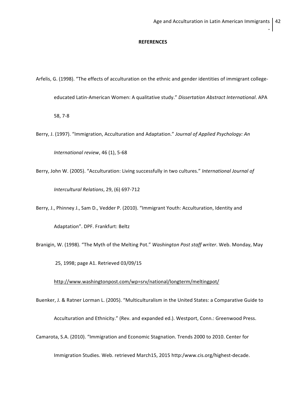#### **REFERENCES**

Arfelis, G. (1998). "The effects of acculturation on the ethnic and gender identities of immigrant college-

educated Latin-American Women: A qualitative study." *Dissertation Abstract International*. APA

58, 7-8

Berry, J. (1997). "Immigration, Acculturation and Adaptation." *Journal of Applied Psychology: An*

*International review*, 46 (1), 5-68

Berry, John W. (2005). "Acculturation: Living successfully in two cultures." *International Journal of Intercultural Relations*, 29, (6) 697-712

Berry, J., Phinney J., Sam D., Vedder P. (2010). "Immigrant Youth: Acculturation, Identity and

Adaptation". DPF. Frankfurt: Beltz

Branigin, W. (1998). "The Myth of the Melting Pot." *Washington Post staff writer*. Web. Monday, May

25, 1998; page A1. Retrieved 03/09/15

http://www.washingtonpost.com/wp=srv/national/longterm/meltingpot/

Buenker, J. & Ratner Lorman L. (2005). "Multiculturalism in the United States: a Comparative Guide to

Acculturation and Ethnicity." (Rev. and expanded ed.). Westport, Conn.: Greenwood Press.

Camarota, S.A. (2010). "Immigration and Economic Stagnation. Trends 2000 to 2010. Center for

Immigration Studies. Web. retrieved March15, 2015 http:/www.cis.org/highest-decade.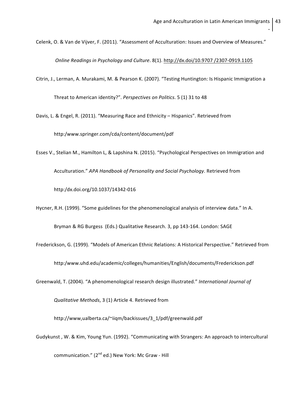Celenk, O. & Van de Vijver, F. (2011). "Assessment of Acculturation: Issues and Overview of Measures."

*Online Readings in Psychology and Culture*. 8(1). http://dx.doi/10.9707 /2307-0919.1105

Citrin, J., Lerman, A. Murakami, M. & Pearson K. (2007). "Testing Huntington: Is Hispanic Immigration a

Threat to American identity?". *Perspectives on Politics*. 5 (1) 31 to 48

Davis, L. & Engel, R. (2011). "Measuring Race and Ethnicity – Hispanics". Retrieved from

http:/www.springer.com/cda/content/document/pdf

Esses V., Stelian M., Hamilton L, & Lapshina N. (2015). "Psychological Perspectives on Immigration and

Acculturation." *APA Handbook of Personality and Social Psychology*. Retrieved from

http:/dx.doi.org/10.1037/14342-016

Hycner, R.H. (1999). "Some guidelines for the phenomenological analysis of interview data." In A.

Bryman & RG Burgess (Eds.) Qualitative Research. 3, pp 143-164. London: SAGE

Frederickson, G. (1999). "Models of American Ethnic Relations: A Historical Perspective." Retrieved from

http:/www.uhd.edu/academic/colleges/humanities/English/documents/Frederickson.pdf

Greenwald, T. (2004). "A phenomenological research design illustrated." *International Journal of*

*Qualitative Methods*, 3 (1) Article 4. Retrieved from

http://www,ualberta.ca/~iiqm/backissues/3\_1/pdf/greenwald.pdf

Gudykunst , W. & Kim, Young Yun. (1992). "Communicating with Strangers: An approach to intercultural

communication." (2<sup>nd</sup> ed.) New York: Mc Graw - Hill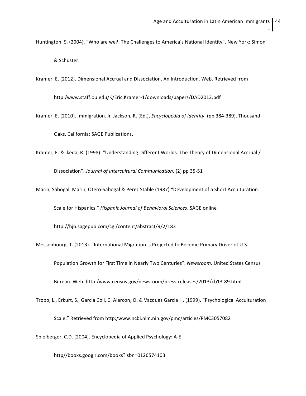Huntington, S. (2004). "Who are we?: The Challenges to America's National Identity". New York: Simon & Schuster.

Kramer, E. (2012). Dimensional Accrual and Dissociation. An Introduction. Web. Retrieved from

http:/www.staff.ou.edu/K/Eric.Kramer-1/downloads/papers/DAD2012.pdf

Kramer, E. (2010). Immigration. In Jackson, R. (Ed.), *Encyclopedia of Identity*. (pp 384-389). Thousand

Oaks, California: SAGE Publications.

Kramer, E. & Ikeda, R. (1998). "Understanding Different Worlds: The Theory of Dimensional Accrual /

Dissociation". *Journal of Intercultural Communication,* (2) pp 35-51

Marin, Sabogal, Marin, Otero-Sabogal & Perez Stable (1987) "Development of a Short Acculturation

Scale for Hispanics." *Hispanic Journal of Behavioral Sciences*. SAGE online

http://hjb.sagepub.com/cgi/content/abstract/9/2/183

Messenbourg, T. (2013). "International Migration is Projected to Become Primary Driver of U.S.

Population Growth for First Time in Nearly Two Centuries". *Newsroom.* United States Census

Bureau. Web. http:/www.census.gov/newsroom/press-releases/2013/cb13-89.html

Tropp, L., Erkurt, S., Garcia Coll, C. Alarcon, O. & Vazquez Garcia H. (1999). "Psychological Acculturation

Scale." Retrieved from http:/www.ncbi.nlm.nih.gov/pmc/articles/PMC3057082

Spielberger, C.D. (2004). Encyclopedia of Applied Psychology: A-E

http//books.googlr.com/books?isbn=0126574103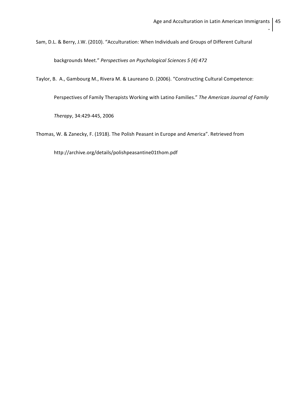Sam, D.L. & Berry, J.W. (2010). "Acculturation: When Individuals and Groups of Different Cultural

backgrounds Meet." *Perspectives on Psychological Sciences 5 (4) 472*

Taylor, B. A., Gambourg M., Rivera M. & Laureano D. (2006). "Constructing Cultural Competence:

Perspectives of Family Therapists Working with Latino Families." *The American Journal of Family*

*Therapy*, 34:429-445, 2006

Thomas, W. & Zanecky, F. (1918). The Polish Peasant in Europe and America". Retrieved from

http://archive.org/details/polishpeasantine01thom.pdf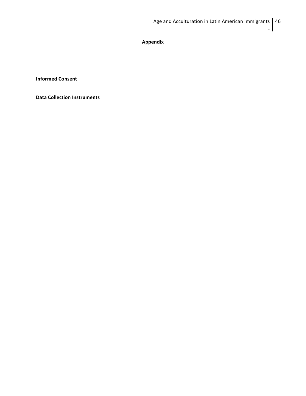**Appendix**

**Informed Consent**

**Data Collection Instruments**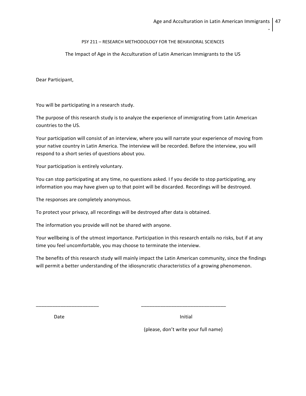# PSY 211 – RESEARCH METHODOLOGY FOR THE BEHAVIORAL SCIENCES

# The Impact of Age in the Acculturation of Latin American Immigrants to the US

Dear Participant,

You will be participating in a research study.

The purpose of this research study is to analyze the experience of immigrating from Latin American countries to the US.

Your participation will consist of an interview, where you will narrate your experience of moving from your native country in Latin America. The interview will be recorded. Before the interview, you will respond to a short series of questions about you.

Your participation is entirely voluntary.

You can stop participating at any time, no questions asked. I f you decide to stop participating, any information you may have given up to that point will be discarded. Recordings will be destroyed.

The responses are completely anonymous.

To protect your privacy, all recordings will be destroyed after data is obtained.

\_\_\_\_\_\_\_\_\_\_\_\_\_\_\_\_\_\_\_\_\_\_\_ \_\_\_\_\_\_\_\_\_\_\_\_\_\_\_\_\_\_\_\_\_\_\_\_\_\_\_\_\_\_\_

The information you provide will not be shared with anyone.

Your wellbeing is of the utmost importance. Participation in this research entails no risks, but if at any time you feel uncomfortable, you may choose to terminate the interview.

The benefits of this research study will mainly impact the Latin American community, since the findings will permit a better understanding of the idiosyncratic characteristics of a growing phenomenon.

Date and the Initial services of the Initial services of the Initial services of the Initial

(please, don't write your full name)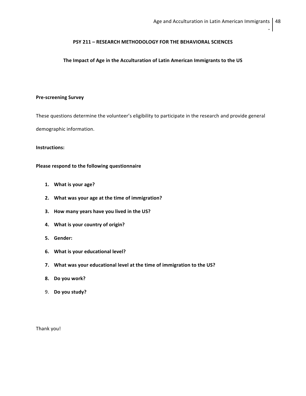## **PSY 211 – RESEARCH METHODOLOGY FOR THE BEHAVIORAL SCIENCES**

## **The Impact of Age in the Acculturation of Latin American Immigrants to the US**

## **Pre-screening Survey**

These questions determine the volunteer's eligibility to participate in the research and provide general

demographic information.

## **Instructions:**

## **Please respond to the following questionnaire**

- **1. What is your age?**
- **2. What was your age at the time of immigration?**
- **3. How many years have you lived in the US?**
- **4. What is your country of origin?**
- **5. Gender:**
- **6. What is your educational level?**
- **7. What was your educational level at the time of immigration to the US?**
- **8. Do you work?**
- 9. **Do you study?**

Thank you!